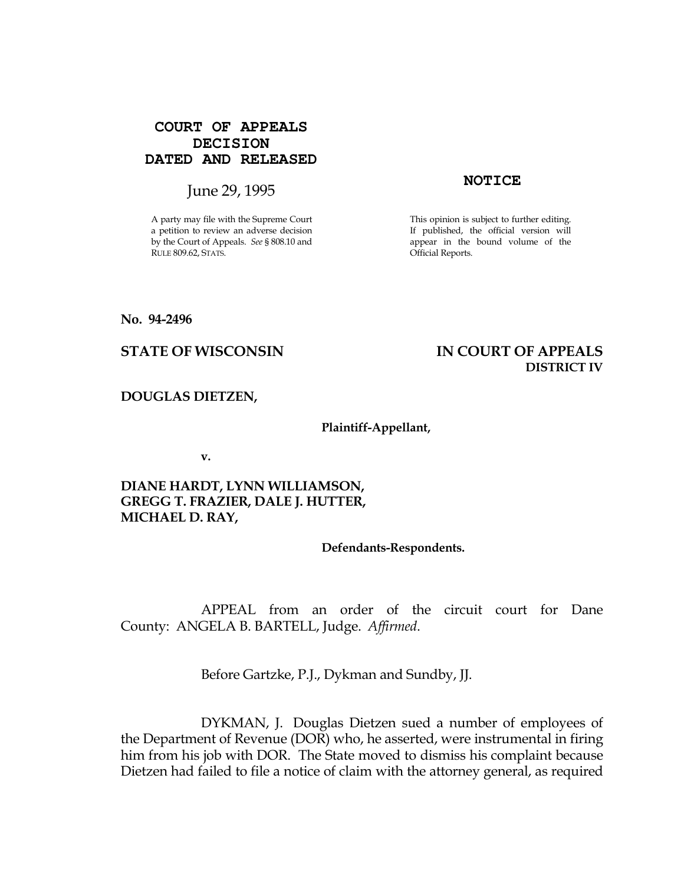# **COURT OF APPEALS DECISION DATED AND RELEASED**

# **Iune 29, 1995 NOTICE**

A party may file with the Supreme Court a petition to review an adverse decision by the Court of Appeals. See § 808.10 and RULE 809.62, STATS.

This opinion is subject to further editing. If published, the official version will appear in the bound volume of the Official Reports.

### No. 94-2496

# STATE OF WISCONSIN THE RESERVE TO THE STATE OF APPEALS DISTRICT IV

### DOUGLAS DIETZEN,

### Plaintiff-Appellant,

v.

# DIANE HARDT, LYNN WILLIAMSON, GREGG T. FRAZIER, DALE J. HUTTER, MICHAEL D. RAY,

### Defendants-Respondents.

 APPEAL from an order of the circuit court for Dane County: ANGELA B. BARTELL, Judge. Affirmed.

Before Gartzke, P.J., Dykman and Sundby, JJ.

 DYKMAN, J. Douglas Dietzen sued a number of employees of the Department of Revenue (DOR) who, he asserted, were instrumental in firing him from his job with DOR. The State moved to dismiss his complaint because Dietzen had failed to file a notice of claim with the attorney general, as required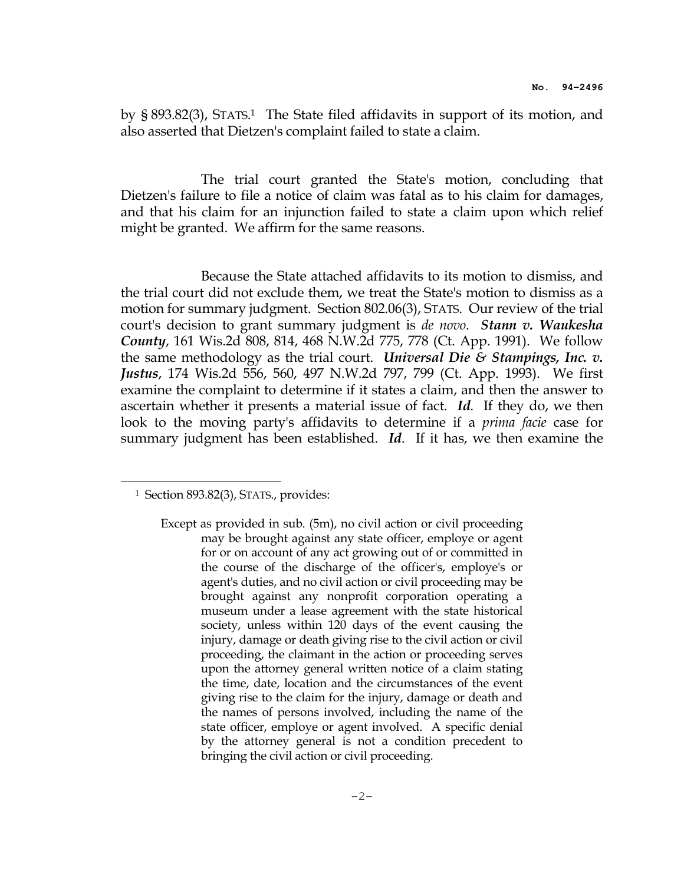by § 893.82(3), STATS. <sup>1</sup> The State filed affidavits in support of its motion, and also asserted that Dietzen's complaint failed to state a claim.

 The trial court granted the State's motion, concluding that Dietzen's failure to file a notice of claim was fatal as to his claim for damages, and that his claim for an injunction failed to state a claim upon which relief might be granted. We affirm for the same reasons.

 Because the State attached affidavits to its motion to dismiss, and the trial court did not exclude them, we treat the State's motion to dismiss as a motion for summary judgment. Section 802.06(3), STATS. Our review of the trial court's decision to grant summary judgment is *de novo*. Stann v. Waukesha County, 161 Wis.2d 808, 814, 468 N.W.2d 775, 778 (Ct. App. 1991). We follow the same methodology as the trial court. Universal Die & Stampings, Inc. v. Justus, 174 Wis.2d 556, 560, 497 N.W.2d 797, 799 (Ct. App. 1993). We first examine the complaint to determine if it states a claim, and then the answer to ascertain whether it presents a material issue of fact. Id. If they do, we then look to the moving party's affidavits to determine if a prima facie case for summary judgment has been established. Id. If it has, we then examine the

 $\overline{a}$ 

<sup>1</sup> Section 893.82(3), STATS., provides:

Except as provided in sub. (5m), no civil action or civil proceeding may be brought against any state officer, employe or agent for or on account of any act growing out of or committed in the course of the discharge of the officer's, employe's or agent's duties, and no civil action or civil proceeding may be brought against any nonprofit corporation operating a museum under a lease agreement with the state historical society, unless within 120 days of the event causing the injury, damage or death giving rise to the civil action or civil proceeding, the claimant in the action or proceeding serves upon the attorney general written notice of a claim stating the time, date, location and the circumstances of the event giving rise to the claim for the injury, damage or death and the names of persons involved, including the name of the state officer, employe or agent involved. A specific denial by the attorney general is not a condition precedent to bringing the civil action or civil proceeding.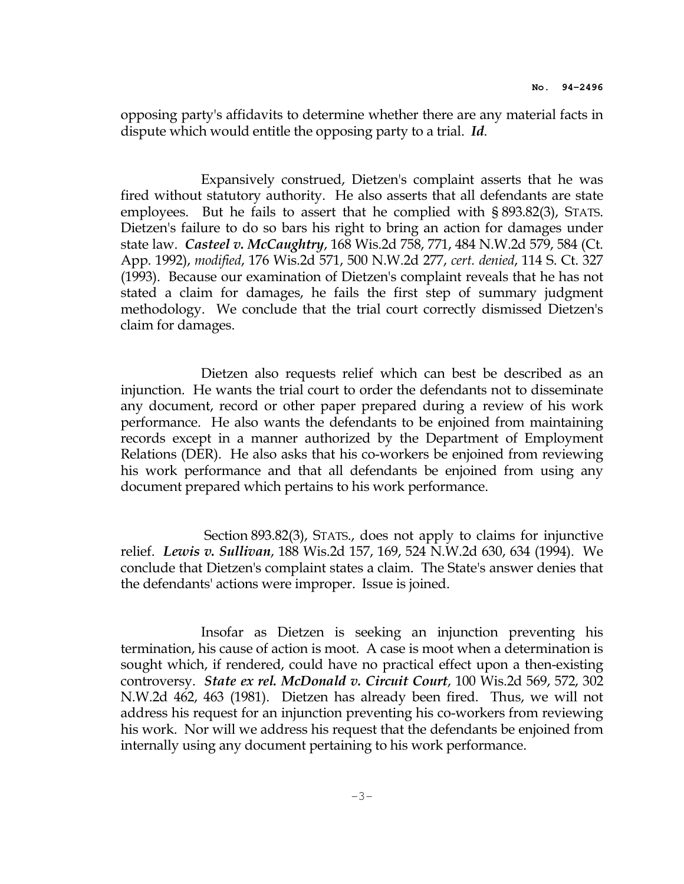opposing party's affidavits to determine whether there are any material facts in dispute which would entitle the opposing party to a trial. Id.

 Expansively construed, Dietzen's complaint asserts that he was fired without statutory authority. He also asserts that all defendants are state employees. But he fails to assert that he complied with § 893.82(3), STATS. Dietzen's failure to do so bars his right to bring an action for damages under state law. Casteel v. McCaughtry, 168 Wis.2d 758, 771, 484 N.W.2d 579, 584 (Ct. App. 1992), modified, 176 Wis.2d 571, 500 N.W.2d 277, cert. denied, 114 S. Ct. 327 (1993). Because our examination of Dietzen's complaint reveals that he has not stated a claim for damages, he fails the first step of summary judgment methodology. We conclude that the trial court correctly dismissed Dietzen's claim for damages.

 Dietzen also requests relief which can best be described as an injunction. He wants the trial court to order the defendants not to disseminate any document, record or other paper prepared during a review of his work performance. He also wants the defendants to be enjoined from maintaining records except in a manner authorized by the Department of Employment Relations (DER). He also asks that his co-workers be enjoined from reviewing his work performance and that all defendants be enjoined from using any document prepared which pertains to his work performance.

 Section 893.82(3), STATS., does not apply to claims for injunctive relief. Lewis v. Sullivan, 188 Wis.2d 157, 169, 524 N.W.2d 630, 634 (1994). We conclude that Dietzen's complaint states a claim. The State's answer denies that the defendants' actions were improper. Issue is joined.

 Insofar as Dietzen is seeking an injunction preventing his termination, his cause of action is moot. A case is moot when a determination is sought which, if rendered, could have no practical effect upon a then-existing controversy. State ex rel. McDonald v. Circuit Court, 100 Wis.2d 569, 572, 302 N.W.2d 462, 463 (1981). Dietzen has already been fired. Thus, we will not address his request for an injunction preventing his co-workers from reviewing his work. Nor will we address his request that the defendants be enjoined from internally using any document pertaining to his work performance.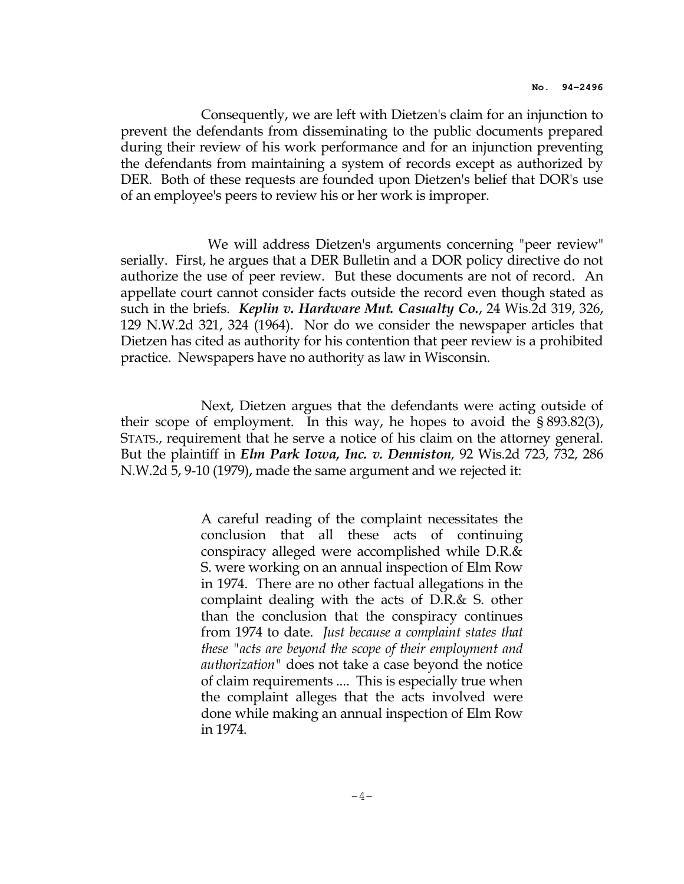Consequently, we are left with Dietzen's claim for an injunction to prevent the defendants from disseminating to the public documents prepared during their review of his work performance and for an injunction preventing the defendants from maintaining a system of records except as authorized by DER. Both of these requests are founded upon Dietzen's belief that DOR's use of an employee's peers to review his or her work is improper.

 We will address Dietzen's arguments concerning "peer review" serially. First, he argues that a DER Bulletin and a DOR policy directive do not authorize the use of peer review. But these documents are not of record. An appellate court cannot consider facts outside the record even though stated as such in the briefs. *Keplin v. Hardware Mut. Casualty Co.*, 24 Wis.2d 319, 326, 129 N.W.2d 321, 324 (1964). Nor do we consider the newspaper articles that Dietzen has cited as authority for his contention that peer review is a prohibited practice. Newspapers have no authority as law in Wisconsin.

 Next, Dietzen argues that the defendants were acting outside of their scope of employment. In this way, he hopes to avoid the § 893.82(3), STATS., requirement that he serve a notice of his claim on the attorney general. But the plaintiff in *Elm Park Iowa, Inc. v. Denniston,* 92 Wis.2d 723, 732, 286 N.W.2d 5, 9-10 (1979), made the same argument and we rejected it:

> A careful reading of the complaint necessitates the conclusion that all these acts of continuing conspiracy alleged were accomplished while D.R.& S. were working on an annual inspection of Elm Row in 1974. There are no other factual allegations in the complaint dealing with the acts of D.R.& S. other than the conclusion that the conspiracy continues from 1974 to date. Just because a complaint states that these "acts are beyond the scope of their employment and authorization" does not take a case beyond the notice of claim requirements .... This is especially true when the complaint alleges that the acts involved were done while making an annual inspection of Elm Row in 1974.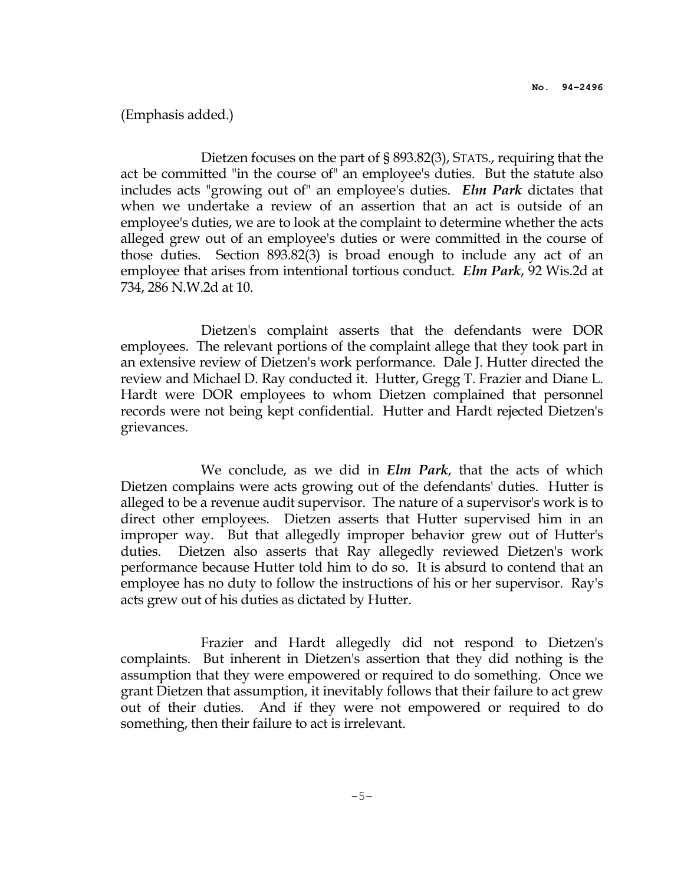## (Emphasis added.)

 Dietzen focuses on the part of § 893.82(3), STATS., requiring that the act be committed "in the course of" an employee's duties. But the statute also includes acts "growing out of" an employee's duties. Elm Park dictates that when we undertake a review of an assertion that an act is outside of an employee's duties, we are to look at the complaint to determine whether the acts alleged grew out of an employee's duties or were committed in the course of those duties. Section 893.82(3) is broad enough to include any act of an employee that arises from intentional tortious conduct. *Elm Park*, 92 Wis.2d at 734, 286 N.W.2d at 10.

 Dietzen's complaint asserts that the defendants were DOR employees. The relevant portions of the complaint allege that they took part in an extensive review of Dietzen's work performance. Dale J. Hutter directed the review and Michael D. Ray conducted it. Hutter, Gregg T. Frazier and Diane L. Hardt were DOR employees to whom Dietzen complained that personnel records were not being kept confidential. Hutter and Hardt rejected Dietzen's grievances.

We conclude, as we did in *Elm Park*, that the acts of which Dietzen complains were acts growing out of the defendants' duties. Hutter is alleged to be a revenue audit supervisor. The nature of a supervisor's work is to direct other employees. Dietzen asserts that Hutter supervised him in an improper way. But that allegedly improper behavior grew out of Hutter's duties. Dietzen also asserts that Ray allegedly reviewed Dietzen's work performance because Hutter told him to do so. It is absurd to contend that an employee has no duty to follow the instructions of his or her supervisor. Ray's acts grew out of his duties as dictated by Hutter.

 Frazier and Hardt allegedly did not respond to Dietzen's complaints. But inherent in Dietzen's assertion that they did nothing is the assumption that they were empowered or required to do something. Once we grant Dietzen that assumption, it inevitably follows that their failure to act grew out of their duties. And if they were not empowered or required to do something, then their failure to act is irrelevant.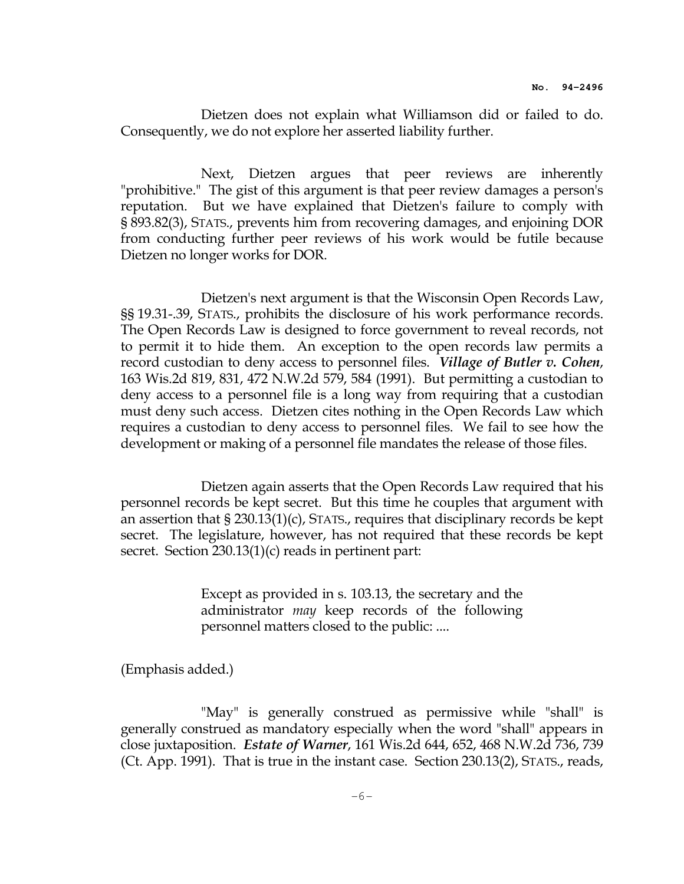Dietzen does not explain what Williamson did or failed to do. Consequently, we do not explore her asserted liability further.

 Next, Dietzen argues that peer reviews are inherently "prohibitive." The gist of this argument is that peer review damages a person's reputation. But we have explained that Dietzen's failure to comply with § 893.82(3), STATS., prevents him from recovering damages, and enjoining DOR from conducting further peer reviews of his work would be futile because Dietzen no longer works for DOR.

 Dietzen's next argument is that the Wisconsin Open Records Law, §§ 19.31-.39, STATS., prohibits the disclosure of his work performance records. The Open Records Law is designed to force government to reveal records, not to permit it to hide them. An exception to the open records law permits a record custodian to deny access to personnel files. Village of Butler v. Cohen, 163 Wis.2d 819, 831, 472 N.W.2d 579, 584 (1991). But permitting a custodian to deny access to a personnel file is a long way from requiring that a custodian must deny such access. Dietzen cites nothing in the Open Records Law which requires a custodian to deny access to personnel files. We fail to see how the development or making of a personnel file mandates the release of those files.

 Dietzen again asserts that the Open Records Law required that his personnel records be kept secret. But this time he couples that argument with an assertion that § 230.13(1)(c), STATS., requires that disciplinary records be kept secret. The legislature, however, has not required that these records be kept secret. Section 230.13(1)(c) reads in pertinent part:

> Except as provided in s. 103.13, the secretary and the administrator may keep records of the following personnel matters closed to the public: ....

(Emphasis added.)

 "May" is generally construed as permissive while "shall" is generally construed as mandatory especially when the word "shall" appears in close juxtaposition. Estate of Warner, 161 Wis.2d 644, 652, 468 N.W.2d 736, 739 (Ct. App. 1991). That is true in the instant case. Section 230.13(2), STATS., reads,